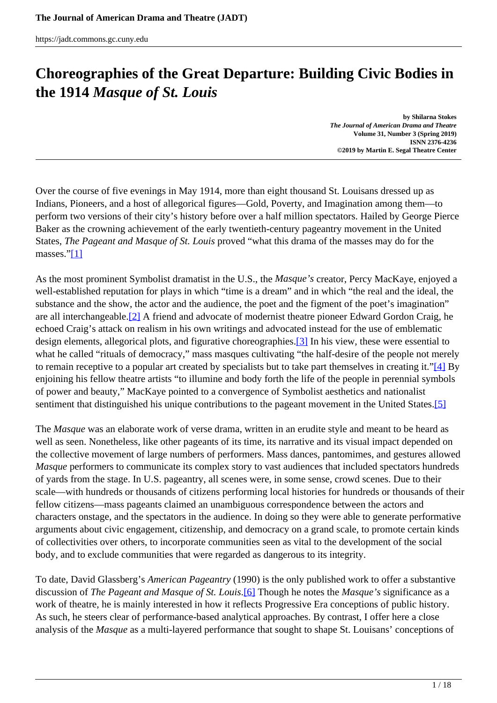# <span id="page-0-0"></span>**Choreographies of the Great Departure: Building Civic Bodies in the 1914** *Masque of St. Louis*

**by Shilarna Stokes** *The Journal of American Drama and Theatre* **Volume 31, Number 3 (Spring 2019) ISNN 2376-4236 ©2019 by Martin E. Segal Theatre Center**

Over the course of five evenings in May 1914, more than eight thousand St. Louisans dressed up as Indians, Pioneers, and a host of allegorical figures—Gold, Poverty, and Imagination among them—to perform two versions of their city's history before over a half million spectators. Hailed by George Pierce Baker as the crowning achievement of the early twentieth-century pageantry movement in the United States, *The Pageant and Masque of St. Louis* proved "what this drama of the masses may do for the masses."[\[1\]](#page-0-0)

As the most prominent Symbolist dramatist in the U.S., the *Masque's* creator, Percy MacKaye, enjoyed a well-established reputation for plays in which "time is a dream" and in which "the real and the ideal, the substance and the show, the actor and the audience, the poet and the figment of the poet's imagination" are all interchangeable.[2] A friend and advocate of modernist theatre pioneer Edward Gordon Craig, he echoed Craig's attack on realism in his own writings and advocated instead for the use of emblematic design elements, allegorical plots, and figurative choreographies.<sup>[3]</sup> In his view, these were essential to what he called "rituals of democracy," mass masques cultivating "the half-desire of the people not merely to remain receptive to a popular art created by specialists but to take part themselves in creating it."[4] By enjoining his fellow theatre artists "to illumine and body forth the life of the people in perennial symbols of power and beauty," MacKaye pointed to a convergence of Symbolist aesthetics and nationalist sentiment that distinguished his unique contributions to the pageant movement in the United States.<sup>[5]</sup>

The *Masque* was an elaborate work of verse drama, written in an erudite style and meant to be heard as well as seen. Nonetheless, like other pageants of its time, its narrative and its visual impact depended on the collective movement of large numbers of performers. Mass dances, pantomimes, and gestures allowed *Masque* performers to communicate its complex story to vast audiences that included spectators hundreds of yards from the stage. In U.S. pageantry, all scenes were, in some sense, crowd scenes. Due to their scale—with hundreds or thousands of citizens performing local histories for hundreds or thousands of their fellow citizens—mass pageants claimed an unambiguous correspondence between the actors and characters onstage, and the spectators in the audience. In doing so they were able to generate performative arguments about civic engagement, citizenship, and democracy on a grand scale, to promote certain kinds of collectivities over others, to incorporate communities seen as vital to the development of the social body, and to exclude communities that were regarded as dangerous to its integrity.

To date, David Glassberg's *American Pageantry* (1990) is the only published work to offer a substantive discussion of *The Pageant and Masque of St. Louis*.[6] Though he notes the *Masque's* significance as a work of theatre, he is mainly interested in how it reflects Progressive Era conceptions of public history. As such, he steers clear of performance-based analytical approaches. By contrast, I offer here a close analysis of the *Masque* as a multi-layered performance that sought to shape St. Louisans' conceptions of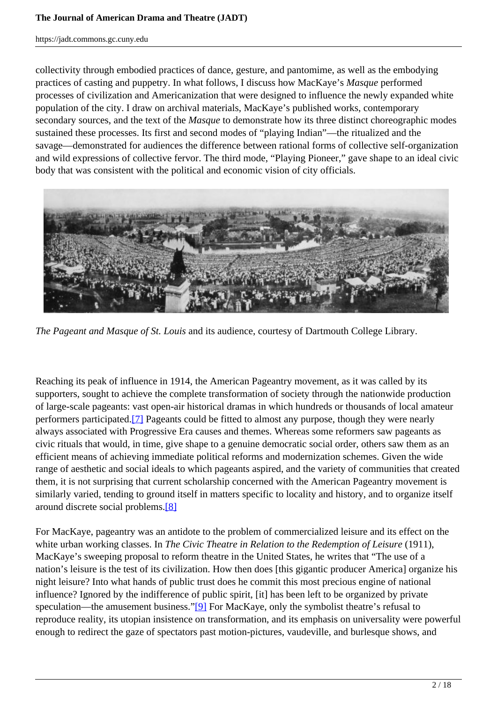collectivity through embodied practices of dance, gesture, and pantomime, as well as the embodying practices of casting and puppetry. In what follows, I discuss how MacKaye's *Masque* performed processes of civilization and Americanization that were designed to influence the newly expanded white population of the city. I draw on archival materials, MacKaye's published works, contemporary secondary sources, and the text of the *Masque* to demonstrate how its three distinct choreographic modes sustained these processes. Its first and second modes of "playing Indian"—the ritualized and the savage—demonstrated for audiences the difference between rational forms of collective self-organization and wild expressions of collective fervor. The third mode, "Playing Pioneer," gave shape to an ideal civic body that was consistent with the political and economic vision of city officials.



*The Pageant and Masque of St. Louis* and its audience, courtesy of Dartmouth College Library.

Reaching its peak of influence in 1914, the American Pageantry movement, as it was called by its supporters, sought to achieve the complete transformation of society through the nationwide production of large-scale pageants: vast open-air historical dramas in which hundreds or thousands of local amateur performers participated.[7] Pageants could be fitted to almost any purpose, though they were nearly always associated with Progressive Era causes and themes. Whereas some reformers saw pageants as civic rituals that would, in time, give shape to a genuine democratic social order, others saw them as an efficient means of achieving immediate political reforms and modernization schemes. Given the wide range of aesthetic and social ideals to which pageants aspired, and the variety of communities that created them, it is not surprising that current scholarship concerned with the American Pageantry movement is similarly varied, tending to ground itself in matters specific to locality and history, and to organize itself around discrete social problems.[8]

For MacKaye, pageantry was an antidote to the problem of commercialized leisure and its effect on the white urban working classes. In *The Civic Theatre in Relation to the Redemption of Leisure* (1911), MacKaye's sweeping proposal to reform theatre in the United States, he writes that "The use of a nation's leisure is the test of its civilization. How then does [this gigantic producer America] organize his night leisure? Into what hands of public trust does he commit this most precious engine of national influence? Ignored by the indifference of public spirit, [it] has been left to be organized by private speculation—the amusement business."[9] For MacKaye, only the symbolist theatre's refusal to reproduce reality, its utopian insistence on transformation, and its emphasis on universality were powerful enough to redirect the gaze of spectators past motion-pictures, vaudeville, and burlesque shows, and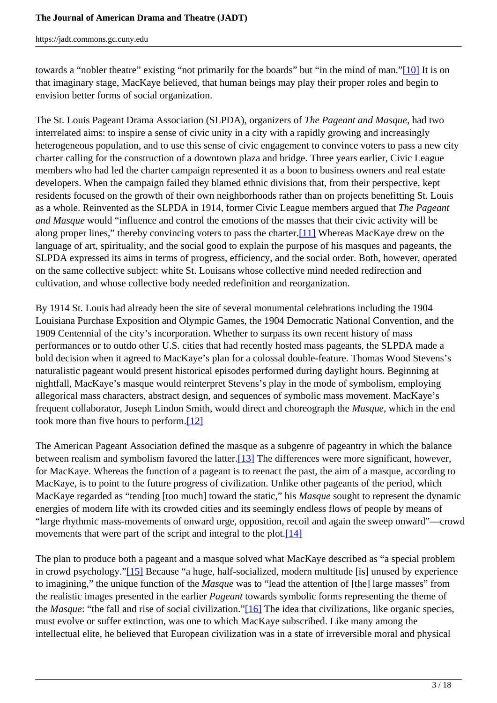towards a "nobler theatre" existing "not primarily for the boards" but "in the mind of man."[10] It is on that imaginary stage, MacKaye believed, that human beings may play their proper roles and begin to envision better forms of social organization.

The St. Louis Pageant Drama Association (SLPDA), organizers of *The Pageant and Masque*, had two interrelated aims: to inspire a sense of civic unity in a city with a rapidly growing and increasingly heterogeneous population, and to use this sense of civic engagement to convince voters to pass a new city charter calling for the construction of a downtown plaza and bridge. Three years earlier, Civic League members who had led the charter campaign represented it as a boon to business owners and real estate developers. When the campaign failed they blamed ethnic divisions that, from their perspective, kept residents focused on the growth of their own neighborhoods rather than on projects benefitting St. Louis as a whole. Reinvented as the SLPDA in 1914, former Civic League members argued that *The Pageant and Masque* would "influence and control the emotions of the masses that their civic activity will be along proper lines," thereby convincing voters to pass the charter.[11] Whereas MacKaye drew on the language of art, spirituality, and the social good to explain the purpose of his masques and pageants, the SLPDA expressed its aims in terms of progress, efficiency, and the social order. Both, however, operated on the same collective subject: white St. Louisans whose collective mind needed redirection and cultivation, and whose collective body needed redefinition and reorganization.

By 1914 St. Louis had already been the site of several monumental celebrations including the 1904 Louisiana Purchase Exposition and Olympic Games, the 1904 Democratic National Convention, and the 1909 Centennial of the city's incorporation. Whether to surpass its own recent history of mass performances or to outdo other U.S. cities that had recently hosted mass pageants, the SLPDA made a bold decision when it agreed to MacKaye's plan for a colossal double-feature. Thomas Wood Stevens's naturalistic pageant would present historical episodes performed during daylight hours. Beginning at nightfall, MacKaye's masque would reinterpret Stevens's play in the mode of symbolism, employing allegorical mass characters, abstract design, and sequences of symbolic mass movement. MacKaye's frequent collaborator, Joseph Lindon Smith, would direct and choreograph the *Masque*, which in the end took more than five hours to perform.[12]

The American Pageant Association defined the masque as a subgenre of pageantry in which the balance between realism and symbolism favored the latter.[13] The differences were more significant, however, for MacKaye. Whereas the function of a pageant is to reenact the past, the aim of a masque, according to MacKaye, is to point to the future progress of civilization. Unlike other pageants of the period, which MacKaye regarded as "tending [too much] toward the static," his *Masque* sought to represent the dynamic energies of modern life with its crowded cities and its seemingly endless flows of people by means of "large rhythmic mass-movements of onward urge, opposition, recoil and again the sweep onward"—crowd movements that were part of the script and integral to the plot.<sup>[14]</sup>

The plan to produce both a pageant and a masque solved what MacKaye described as "a special problem in crowd psychology."[15] Because "a huge, half-socialized, modern multitude [is] unused by experience to imagining," the unique function of the *Masque* was to "lead the attention of [the] large masses" from the realistic images presented in the earlier *Pageant* towards symbolic forms representing the theme of the *Masque*: "the fall and rise of social civilization."[16] The idea that civilizations, like organic species, must evolve or suffer extinction, was one to which MacKaye subscribed. Like many among the intellectual elite, he believed that European civilization was in a state of irreversible moral and physical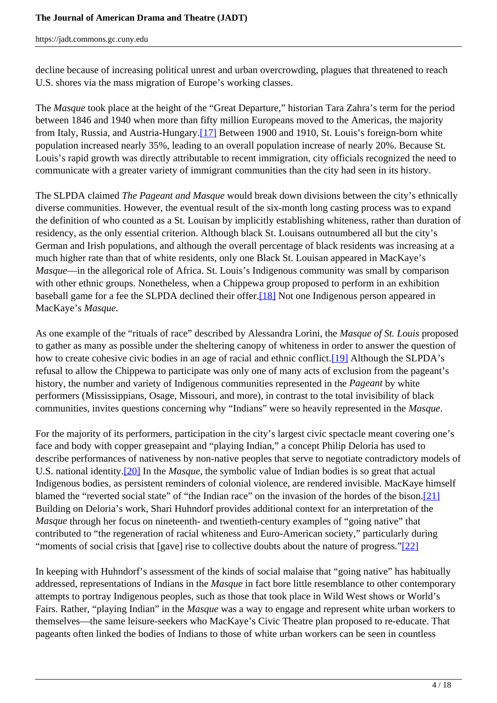decline because of increasing political unrest and urban overcrowding, plagues that threatened to reach U.S. shores via the mass migration of Europe's working classes.

The *Masque* took place at the height of the "Great Departure," historian Tara Zahra's term for the period between 1846 and 1940 when more than fifty million Europeans moved to the Americas, the majority from Italy, Russia, and Austria-Hungary.[17] Between 1900 and 1910, St. Louis's foreign-born white population increased nearly 35%, leading to an overall population increase of nearly 20%. Because St. Louis's rapid growth was directly attributable to recent immigration, city officials recognized the need to communicate with a greater variety of immigrant communities than the city had seen in its history.

The SLPDA claimed *The Pageant and Masque* would break down divisions between the city's ethnically diverse communities. However, the eventual result of the six-month long casting process was to expand the definition of who counted as a St. Louisan by implicitly establishing whiteness, rather than duration of residency, as the only essential criterion. Although black St. Louisans outnumbered all but the city's German and Irish populations, and although the overall percentage of black residents was increasing at a much higher rate than that of white residents, only one Black St. Louisan appeared in MacKaye's *Masque*—in the allegorical role of Africa. St. Louis's Indigenous community was small by comparison with other ethnic groups. Nonetheless, when a Chippewa group proposed to perform in an exhibition baseball game for a fee the SLPDA declined their offer.[18] Not one Indigenous person appeared in MacKaye's *Masque.*

As one example of the "rituals of race" described by Alessandra Lorini, the *Masque of St. Louis* proposed to gather as many as possible under the sheltering canopy of whiteness in order to answer the question of how to create cohesive civic bodies in an age of racial and ethnic conflict.<sup>[19]</sup> Although the SLPDA's refusal to allow the Chippewa to participate was only one of many acts of exclusion from the pageant's history, the number and variety of Indigenous communities represented in the *Pageant* by white performers (Mississippians, Osage, Missouri, and more), in contrast to the total invisibility of black communities, invites questions concerning why "Indians" were so heavily represented in the *Masque*.

For the majority of its performers, participation in the city's largest civic spectacle meant covering one's face and body with copper greasepaint and "playing Indian," a concept Philip Deloria has used to describe performances of nativeness by non-native peoples that serve to negotiate contradictory models of U.S. national identity.[20] In the *Masque*, the symbolic value of Indian bodies is so great that actual Indigenous bodies, as persistent reminders of colonial violence, are rendered invisible. MacKaye himself blamed the "reverted social state" of "the Indian race" on the invasion of the hordes of the bison.[21] Building on Deloria's work, Shari Huhndorf provides additional context for an interpretation of the *Masque* through her focus on nineteenth- and twentieth-century examples of "going native" that contributed to "the regeneration of racial whiteness and Euro-American society," particularly during "moments of social crisis that [gave] rise to collective doubts about the nature of progress."[22]

In keeping with Huhndorf's assessment of the kinds of social malaise that "going native" has habitually addressed, representations of Indians in the *Masque* in fact bore little resemblance to other contemporary attempts to portray Indigenous peoples, such as those that took place in Wild West shows or World's Fairs. Rather, "playing Indian" in the *Masque* was a way to engage and represent white urban workers to themselves—the same leisure-seekers who MacKaye's Civic Theatre plan proposed to re-educate. That pageants often linked the bodies of Indians to those of white urban workers can be seen in countless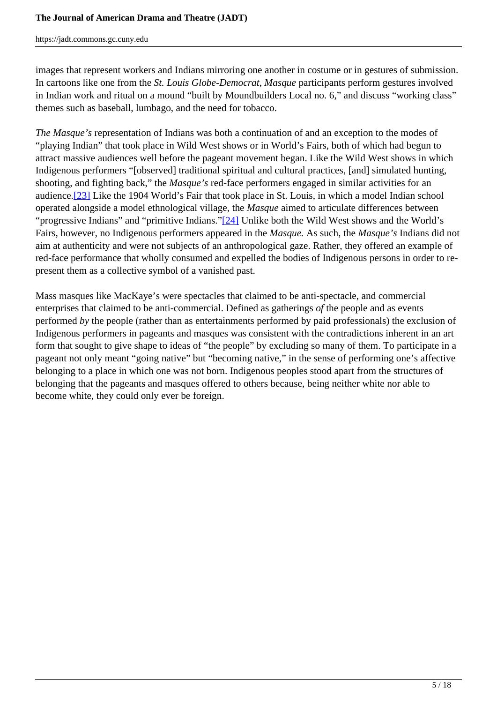images that represent workers and Indians mirroring one another in costume or in gestures of submission. In cartoons like one from the *St. Louis Globe-Democrat*, *Masque* participants perform gestures involved in Indian work and ritual on a mound "built by Moundbuilders Local no. 6," and discuss "working class" themes such as baseball, lumbago, and the need for tobacco.

*The Masque's* representation of Indians was both a continuation of and an exception to the modes of "playing Indian" that took place in Wild West shows or in World's Fairs, both of which had begun to attract massive audiences well before the pageant movement began. Like the Wild West shows in which Indigenous performers "[observed] traditional spiritual and cultural practices, [and] simulated hunting, shooting, and fighting back," the *Masque's* red-face performers engaged in similar activities for an audience.[23] Like the 1904 World's Fair that took place in St. Louis, in which a model Indian school operated alongside a model ethnological village, the *Masque* aimed to articulate differences between "progressive Indians" and "primitive Indians."[24] Unlike both the Wild West shows and the World's Fairs, however, no Indigenous performers appeared in the *Masque.* As such, the *Masque's* Indians did not aim at authenticity and were not subjects of an anthropological gaze. Rather, they offered an example of red-face performance that wholly consumed and expelled the bodies of Indigenous persons in order to represent them as a collective symbol of a vanished past.

Mass masques like MacKaye's were spectacles that claimed to be anti-spectacle, and commercial enterprises that claimed to be anti-commercial. Defined as gatherings *of* the people and as events performed *by* the people (rather than as entertainments performed by paid professionals) the exclusion of Indigenous performers in pageants and masques was consistent with the contradictions inherent in an art form that sought to give shape to ideas of "the people" by excluding so many of them. To participate in a pageant not only meant "going native" but "becoming native," in the sense of performing one's affective belonging to a place in which one was not born. Indigenous peoples stood apart from the structures of belonging that the pageants and masques offered to others because, being neither white nor able to become white, they could only ever be foreign.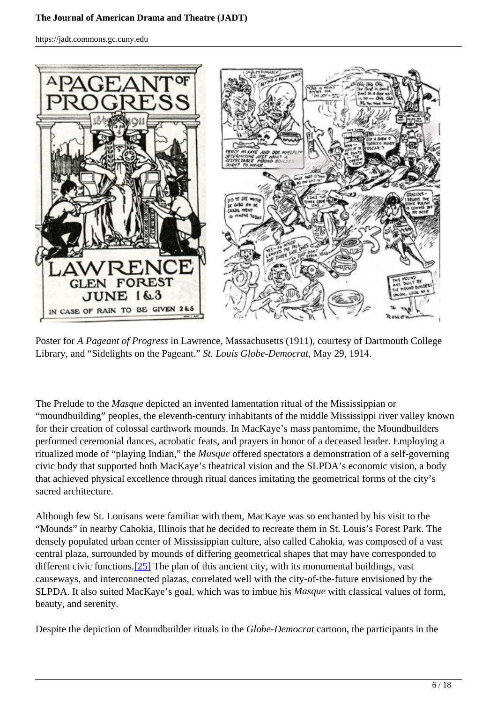#### **The Journal of American Drama and Theatre (JADT)**

https://jadt.commons.gc.cuny.edu



Poster for *A Pageant of Progress* in Lawrence, Massachusetts (1911), courtesy of Dartmouth College Library, and "Sidelights on the Pageant." *St. Louis Globe-Democrat*, May 29, 1914.

The Prelude to the *Masque* depicted an invented lamentation ritual of the Mississippian or "moundbuilding" peoples, the eleventh-century inhabitants of the middle Mississippi river valley known for their creation of colossal earthwork mounds. In MacKaye's mass pantomime, the Moundbuilders performed ceremonial dances, acrobatic feats, and prayers in honor of a deceased leader. Employing a ritualized mode of "playing Indian," the *Masque* offered spectators a demonstration of a self-governing civic body that supported both MacKaye's theatrical vision and the SLPDA's economic vision, a body that achieved physical excellence through ritual dances imitating the geometrical forms of the city's sacred architecture.

Although few St. Louisans were familiar with them, MacKaye was so enchanted by his visit to the "Mounds" in nearby Cahokia, Illinois that he decided to recreate them in St. Louis's Forest Park. The densely populated urban center of Mississippian culture, also called Cahokia, was composed of a vast central plaza, surrounded by mounds of differing geometrical shapes that may have corresponded to different civic functions. $[25]$  The plan of this ancient city, with its monumental buildings, vast causeways, and interconnected plazas, correlated well with the city-of-the-future envisioned by the SLPDA. It also suited MacKaye's goal, which was to imbue his *Masque* with classical values of form, beauty, and serenity.

Despite the depiction of Moundbuilder rituals in the *Globe-Democrat* cartoon, the participants in the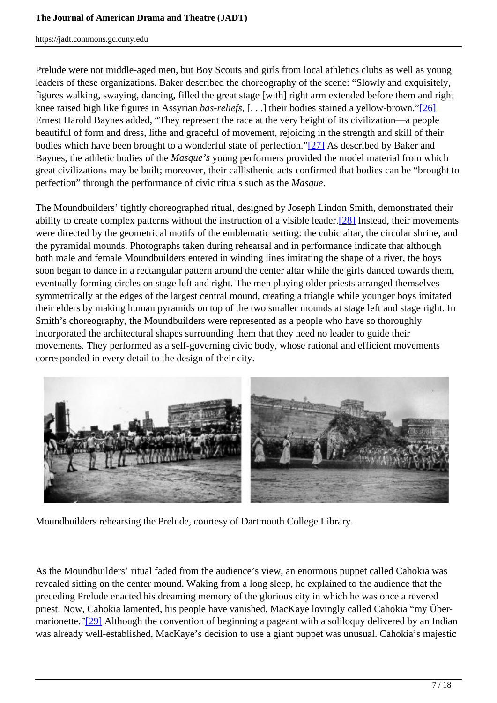Prelude were not middle-aged men, but Boy Scouts and girls from local athletics clubs as well as young leaders of these organizations. Baker described the choreography of the scene: "Slowly and exquisitely, figures walking, swaying, dancing, filled the great stage [with] right arm extended before them and right knee raised high like figures in Assyrian *bas-reliefs*, [. . .] their bodies stained a yellow-brown."[26] Ernest Harold Baynes added, "They represent the race at the very height of its civilization—a people beautiful of form and dress, lithe and graceful of movement, rejoicing in the strength and skill of their bodies which have been brought to a wonderful state of perfection."[27] As described by Baker and Baynes, the athletic bodies of the *Masque's* young performers provided the model material from which great civilizations may be built; moreover, their callisthenic acts confirmed that bodies can be "brought to perfection" through the performance of civic rituals such as the *Masque*.

The Moundbuilders' tightly choreographed ritual, designed by Joseph Lindon Smith, demonstrated their ability to create complex patterns without the instruction of a visible leader.<sup>[28]</sup> Instead, their movements were directed by the geometrical motifs of the emblematic setting: the cubic altar, the circular shrine, and the pyramidal mounds. Photographs taken during rehearsal and in performance indicate that although both male and female Moundbuilders entered in winding lines imitating the shape of a river, the boys soon began to dance in a rectangular pattern around the center altar while the girls danced towards them, eventually forming circles on stage left and right. The men playing older priests arranged themselves symmetrically at the edges of the largest central mound, creating a triangle while younger boys imitated their elders by making human pyramids on top of the two smaller mounds at stage left and stage right. In Smith's choreography, the Moundbuilders were represented as a people who have so thoroughly incorporated the architectural shapes surrounding them that they need no leader to guide their movements. They performed as a self-governing civic body, whose rational and efficient movements corresponded in every detail to the design of their city.



Moundbuilders rehearsing the Prelude, courtesy of Dartmouth College Library.

As the Moundbuilders' ritual faded from the audience's view, an enormous puppet called Cahokia was revealed sitting on the center mound. Waking from a long sleep, he explained to the audience that the preceding Prelude enacted his dreaming memory of the glorious city in which he was once a revered priest. Now, Cahokia lamented, his people have vanished. MacKaye lovingly called Cahokia "my Übermarionette."[29] Although the convention of beginning a pageant with a soliloquy delivered by an Indian was already well-established, MacKaye's decision to use a giant puppet was unusual. Cahokia's majestic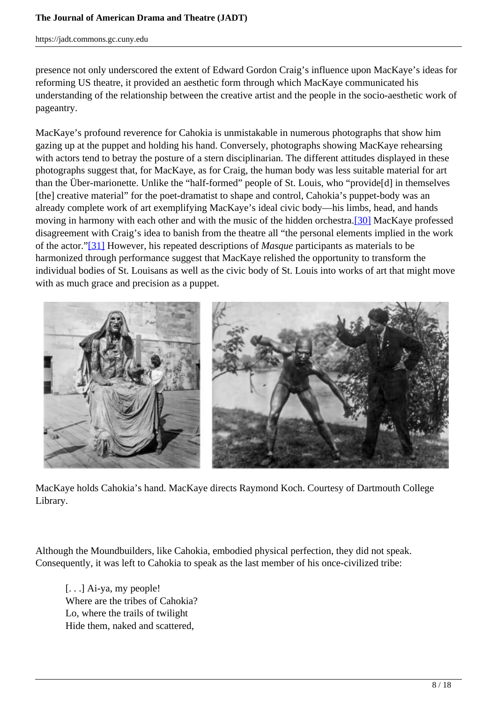presence not only underscored the extent of Edward Gordon Craig's influence upon MacKaye's ideas for reforming US theatre, it provided an aesthetic form through which MacKaye communicated his understanding of the relationship between the creative artist and the people in the socio-aesthetic work of pageantry.

MacKaye's profound reverence for Cahokia is unmistakable in numerous photographs that show him gazing up at the puppet and holding his hand. Conversely, photographs showing MacKaye rehearsing with actors tend to betray the posture of a stern disciplinarian. The different attitudes displayed in these photographs suggest that, for MacKaye, as for Craig, the human body was less suitable material for art than the Über-marionette. Unlike the "half-formed" people of St. Louis, who "provide[d] in themselves [the] creative material" for the poet-dramatist to shape and control, Cahokia's puppet-body was an already complete work of art exemplifying MacKaye's ideal civic body—his limbs, head, and hands moving in harmony with each other and with the music of the hidden orchestra.[30] MacKaye professed disagreement with Craig's idea to banish from the theatre all "the personal elements implied in the work of the actor."[31] However, his repeated descriptions of *Masque* participants as materials to be harmonized through performance suggest that MacKaye relished the opportunity to transform the individual bodies of St. Louisans as well as the civic body of St. Louis into works of art that might move with as much grace and precision as a puppet.



MacKaye holds Cahokia's hand. MacKaye directs Raymond Koch. Courtesy of Dartmouth College Library.

Although the Moundbuilders, like Cahokia, embodied physical perfection, they did not speak. Consequently, it was left to Cahokia to speak as the last member of his once-civilized tribe:

[...] Ai-ya, my people! Where are the tribes of Cahokia? Lo, where the trails of twilight Hide them, naked and scattered,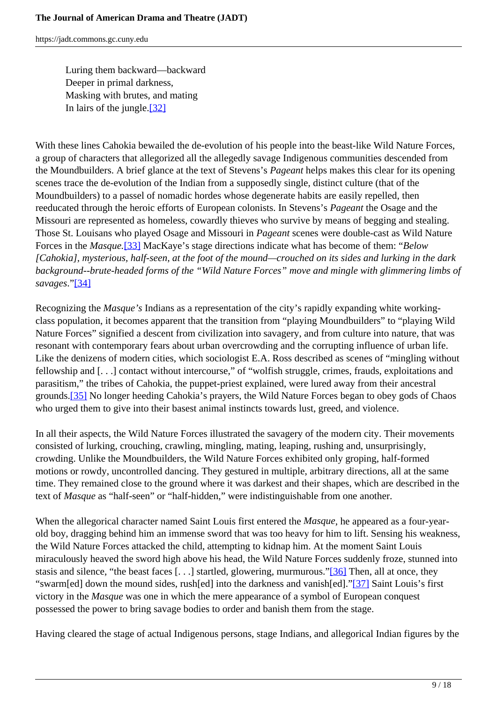Luring them backward—backward Deeper in primal darkness, Masking with brutes, and mating In lairs of the jungle.[32]

With these lines Cahokia bewailed the de-evolution of his people into the beast-like Wild Nature Forces, a group of characters that allegorized all the allegedly savage Indigenous communities descended from the Moundbuilders. A brief glance at the text of Stevens's *Pageant* helps makes this clear for its opening scenes trace the de-evolution of the Indian from a supposedly single, distinct culture (that of the Moundbuilders) to a passel of nomadic hordes whose degenerate habits are easily repelled, then reeducated through the heroic efforts of European colonists. In Stevens's *Pageant* the Osage and the Missouri are represented as homeless, cowardly thieves who survive by means of begging and stealing. Those St. Louisans who played Osage and Missouri in *Pageant* scenes were double-cast as Wild Nature Forces in the *Masque.*[33] MacKaye's stage directions indicate what has become of them: "*Below [Cahokia], mysterious, half-seen, at the foot of the mound—crouched on its sides and lurking in the dark background--brute-headed forms of the "Wild Nature Forces" move and mingle with glimmering limbs of savages*."[34]

Recognizing the *Masque's* Indians as a representation of the city's rapidly expanding white workingclass population, it becomes apparent that the transition from "playing Moundbuilders" to "playing Wild Nature Forces" signified a descent from civilization into savagery, and from culture into nature, that was resonant with contemporary fears about urban overcrowding and the corrupting influence of urban life. Like the denizens of modern cities, which sociologist E.A. Ross described as scenes of "mingling without fellowship and [. . .] contact without intercourse," of "wolfish struggle, crimes, frauds, exploitations and parasitism," the tribes of Cahokia, the puppet-priest explained, were lured away from their ancestral grounds.[35] No longer heeding Cahokia's prayers, the Wild Nature Forces began to obey gods of Chaos who urged them to give into their basest animal instincts towards lust, greed, and violence.

In all their aspects, the Wild Nature Forces illustrated the savagery of the modern city. Their movements consisted of lurking, crouching, crawling, mingling, mating, leaping, rushing and, unsurprisingly, crowding. Unlike the Moundbuilders, the Wild Nature Forces exhibited only groping, half-formed motions or rowdy, uncontrolled dancing. They gestured in multiple, arbitrary directions, all at the same time. They remained close to the ground where it was darkest and their shapes, which are described in the text of *Masque* as "half-seen" or "half-hidden," were indistinguishable from one another.

When the allegorical character named Saint Louis first entered the *Masque*, he appeared as a four-yearold boy, dragging behind him an immense sword that was too heavy for him to lift. Sensing his weakness, the Wild Nature Forces attacked the child, attempting to kidnap him. At the moment Saint Louis miraculously heaved the sword high above his head, the Wild Nature Forces suddenly froze, stunned into stasis and silence, "the beast faces [. . .] startled, glowering, murmurous."[36] Then, all at once, they "swarm[ed] down the mound sides, rush[ed] into the darkness and vanish[ed]."[37] Saint Louis's first victory in the *Masque* was one in which the mere appearance of a symbol of European conquest possessed the power to bring savage bodies to order and banish them from the stage.

Having cleared the stage of actual Indigenous persons, stage Indians, and allegorical Indian figures by the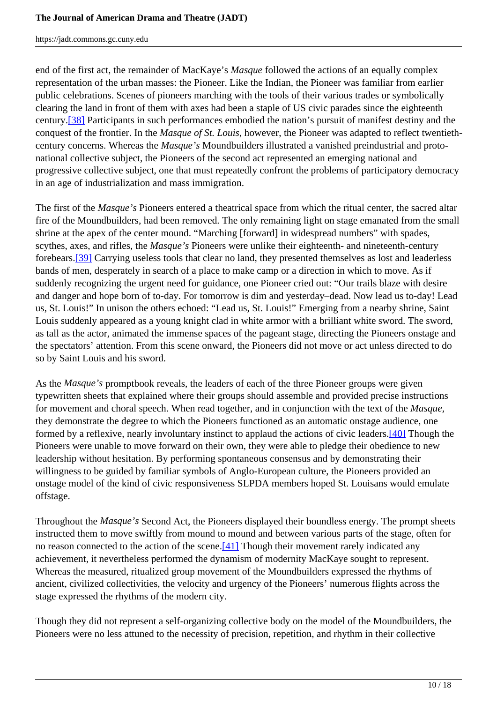end of the first act, the remainder of MacKaye's *Masque* followed the actions of an equally complex representation of the urban masses: the Pioneer. Like the Indian, the Pioneer was familiar from earlier public celebrations. Scenes of pioneers marching with the tools of their various trades or symbolically clearing the land in front of them with axes had been a staple of US civic parades since the eighteenth century.[38] Participants in such performances embodied the nation's pursuit of manifest destiny and the conquest of the frontier. In the *Masque of St. Louis*, however, the Pioneer was adapted to reflect twentiethcentury concerns. Whereas the *Masque's* Moundbuilders illustrated a vanished preindustrial and protonational collective subject, the Pioneers of the second act represented an emerging national and progressive collective subject, one that must repeatedly confront the problems of participatory democracy in an age of industrialization and mass immigration.

The first of the *Masque's* Pioneers entered a theatrical space from which the ritual center, the sacred altar fire of the Moundbuilders, had been removed. The only remaining light on stage emanated from the small shrine at the apex of the center mound. "Marching [forward] in widespread numbers" with spades, scythes, axes, and rifles, the *Masque's* Pioneers were unlike their eighteenth- and nineteenth-century forebears.[39] Carrying useless tools that clear no land, they presented themselves as lost and leaderless bands of men, desperately in search of a place to make camp or a direction in which to move. As if suddenly recognizing the urgent need for guidance, one Pioneer cried out: "Our trails blaze with desire and danger and hope born of to-day. For tomorrow is dim and yesterday–dead. Now lead us to-day! Lead us, St. Louis!" In unison the others echoed: "Lead us, St. Louis!" Emerging from a nearby shrine, Saint Louis suddenly appeared as a young knight clad in white armor with a brilliant white sword. The sword, as tall as the actor, animated the immense spaces of the pageant stage, directing the Pioneers onstage and the spectators' attention. From this scene onward, the Pioneers did not move or act unless directed to do so by Saint Louis and his sword.

As the *Masque's* promptbook reveals, the leaders of each of the three Pioneer groups were given typewritten sheets that explained where their groups should assemble and provided precise instructions for movement and choral speech. When read together, and in conjunction with the text of the *Masque,* they demonstrate the degree to which the Pioneers functioned as an automatic onstage audience, one formed by a reflexive, nearly involuntary instinct to applaud the actions of civic leaders.[40] Though the Pioneers were unable to move forward on their own, they were able to pledge their obedience to new leadership without hesitation. By performing spontaneous consensus and by demonstrating their willingness to be guided by familiar symbols of Anglo-European culture, the Pioneers provided an onstage model of the kind of civic responsiveness SLPDA members hoped St. Louisans would emulate offstage.

Throughout the *Masque's* Second Act, the Pioneers displayed their boundless energy. The prompt sheets instructed them to move swiftly from mound to mound and between various parts of the stage, often for no reason connected to the action of the scene.[41] Though their movement rarely indicated any achievement, it nevertheless performed the dynamism of modernity MacKaye sought to represent. Whereas the measured, ritualized group movement of the Moundbuilders expressed the rhythms of ancient, civilized collectivities, the velocity and urgency of the Pioneers' numerous flights across the stage expressed the rhythms of the modern city.

Though they did not represent a self-organizing collective body on the model of the Moundbuilders, the Pioneers were no less attuned to the necessity of precision, repetition, and rhythm in their collective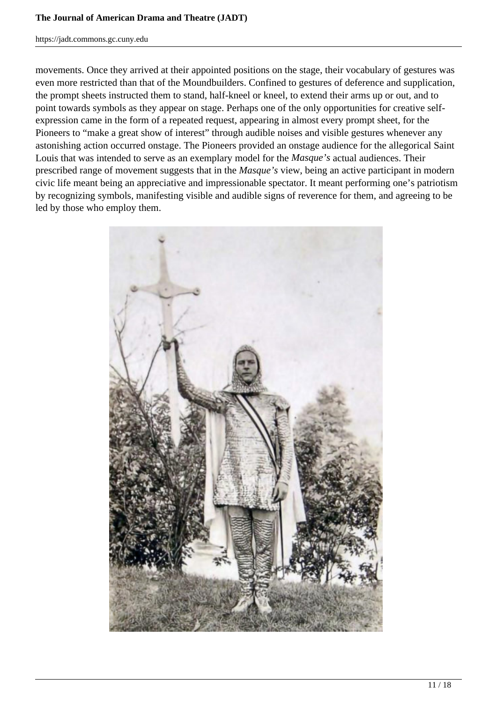#### **The Journal of American Drama and Theatre (JADT)**

https://jadt.commons.gc.cuny.edu

movements. Once they arrived at their appointed positions on the stage, their vocabulary of gestures was even more restricted than that of the Moundbuilders. Confined to gestures of deference and supplication, the prompt sheets instructed them to stand, half-kneel or kneel, to extend their arms up or out, and to point towards symbols as they appear on stage. Perhaps one of the only opportunities for creative selfexpression came in the form of a repeated request, appearing in almost every prompt sheet, for the Pioneers to "make a great show of interest" through audible noises and visible gestures whenever any astonishing action occurred onstage. The Pioneers provided an onstage audience for the allegorical Saint Louis that was intended to serve as an exemplary model for the *Masque's* actual audiences. Their prescribed range of movement suggests that in the *Masque's* view, being an active participant in modern civic life meant being an appreciative and impressionable spectator. It meant performing one's patriotism by recognizing symbols, manifesting visible and audible signs of reverence for them, and agreeing to be led by those who employ them.

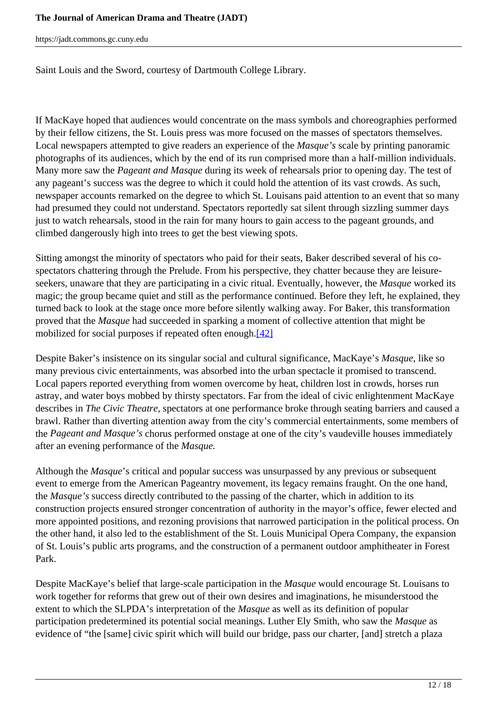#### **The Journal of American Drama and Theatre (JADT)**

https://jadt.commons.gc.cuny.edu

Saint Louis and the Sword, courtesy of Dartmouth College Library.

If MacKaye hoped that audiences would concentrate on the mass symbols and choreographies performed by their fellow citizens, the St. Louis press was more focused on the masses of spectators themselves. Local newspapers attempted to give readers an experience of the *Masque's* scale by printing panoramic photographs of its audiences, which by the end of its run comprised more than a half-million individuals. Many more saw the *Pageant and Masque* during its week of rehearsals prior to opening day. The test of any pageant's success was the degree to which it could hold the attention of its vast crowds. As such, newspaper accounts remarked on the degree to which St. Louisans paid attention to an event that so many had presumed they could not understand. Spectators reportedly sat silent through sizzling summer days just to watch rehearsals, stood in the rain for many hours to gain access to the pageant grounds, and climbed dangerously high into trees to get the best viewing spots.

Sitting amongst the minority of spectators who paid for their seats, Baker described several of his cospectators chattering through the Prelude. From his perspective, they chatter because they are leisureseekers, unaware that they are participating in a civic ritual. Eventually, however, the *Masque* worked its magic; the group became quiet and still as the performance continued. Before they left, he explained, they turned back to look at the stage once more before silently walking away. For Baker, this transformation proved that the *Masque* had succeeded in sparking a moment of collective attention that might be mobilized for social purposes if repeated often enough.[42]

Despite Baker's insistence on its singular social and cultural significance, MacKaye's *Masque*, like so many previous civic entertainments, was absorbed into the urban spectacle it promised to transcend. Local papers reported everything from women overcome by heat, children lost in crowds, horses run astray, and water boys mobbed by thirsty spectators. Far from the ideal of civic enlightenment MacKaye describes in *The Civic Theatre*, spectators at one performance broke through seating barriers and caused a brawl. Rather than diverting attention away from the city's commercial entertainments, some members of the *Pageant and Masque's* chorus performed onstage at one of the city's vaudeville houses immediately after an evening performance of the *Masque.*

Although the *Masque*'s critical and popular success was unsurpassed by any previous or subsequent event to emerge from the American Pageantry movement, its legacy remains fraught. On the one hand, the *Masque's* success directly contributed to the passing of the charter, which in addition to its construction projects ensured stronger concentration of authority in the mayor's office, fewer elected and more appointed positions, and rezoning provisions that narrowed participation in the political process. On the other hand, it also led to the establishment of the St. Louis Municipal Opera Company, the expansion of St. Louis's public arts programs, and the construction of a permanent outdoor amphitheater in Forest Park.

Despite MacKaye's belief that large-scale participation in the *Masque* would encourage St. Louisans to work together for reforms that grew out of their own desires and imaginations, he misunderstood the extent to which the SLPDA's interpretation of the *Masque* as well as its definition of popular participation predetermined its potential social meanings. Luther Ely Smith, who saw the *Masque* as evidence of "the [same] civic spirit which will build our bridge, pass our charter, [and] stretch a plaza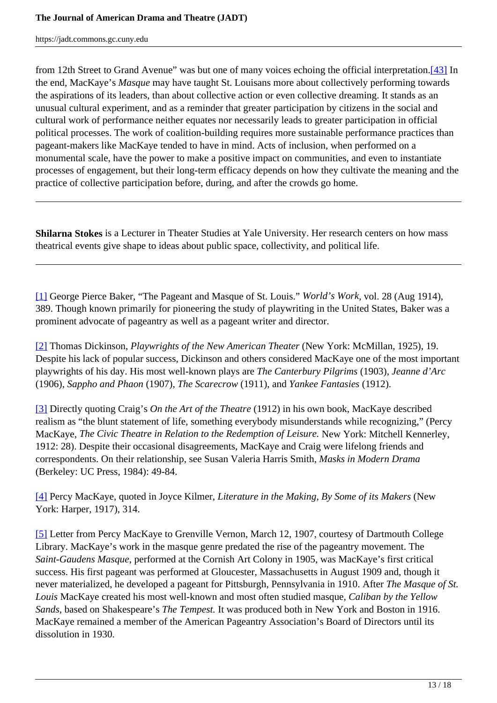from 12th Street to Grand Avenue" was but one of many voices echoing the official interpretation.[43] In the end, MacKaye's *Masque* may have taught St. Louisans more about collectively performing towards the aspirations of its leaders, than about collective action or even collective dreaming. It stands as an unusual cultural experiment, and as a reminder that greater participation by citizens in the social and cultural work of performance neither equates nor necessarily leads to greater participation in official political processes. The work of coalition-building requires more sustainable performance practices than pageant-makers like MacKaye tended to have in mind. Acts of inclusion, when performed on a monumental scale, have the power to make a positive impact on communities, and even to instantiate processes of engagement, but their long-term efficacy depends on how they cultivate the meaning and the practice of collective participation before, during, and after the crowds go home.

**Shilarna Stokes** is a Lecturer in Theater Studies at Yale University. Her research centers on how mass theatrical events give shape to ideas about public space, collectivity, and political life.

[1] George Pierce Baker, "The Pageant and Masque of St. Louis." *World's Work*, vol. 28 (Aug 1914), 389. Though known primarily for pioneering the study of playwriting in the United States, Baker was a prominent advocate of pageantry as well as a pageant writer and director.

[2] Thomas Dickinson, *Playwrights of the New American Theater* (New York: McMillan, 1925), 19. Despite his lack of popular success, Dickinson and others considered MacKaye one of the most important playwrights of his day. His most well-known plays are *The Canterbury Pilgrims* (1903), *Jeanne d'Arc* (1906), *Sappho and Phaon* (1907), *The Scarecrow* (1911), and *Yankee Fantasies* (1912).

[3] Directly quoting Craig's *On the Art of the Theatre* (1912) in his own book, MacKaye described realism as "the blunt statement of life, something everybody misunderstands while recognizing," (Percy MacKaye, *The Civic Theatre in Relation to the Redemption of Leisure.* New York: Mitchell Kennerley, 1912: 28). Despite their occasional disagreements, MacKaye and Craig were lifelong friends and correspondents. On their relationship, see Susan Valeria Harris Smith, *Masks in Modern Drama* (Berkeley: UC Press, 1984): 49-84.

[4] Percy MacKaye, quoted in Joyce Kilmer, *Literature in the Making, By Some of its Makers* (New York: Harper, 1917), 314.

[5] Letter from Percy MacKaye to Grenville Vernon, March 12, 1907, courtesy of Dartmouth College Library. MacKaye's work in the masque genre predated the rise of the pageantry movement. The *Saint-Gaudens Masque*, performed at the Cornish Art Colony in 1905, was MacKaye's first critical success. His first pageant was performed at Gloucester, Massachusetts in August 1909 and, though it never materialized, he developed a pageant for Pittsburgh, Pennsylvania in 1910. After *The Masque of St. Louis* MacKaye created his most well-known and most often studied masque, *Caliban by the Yellow Sands,* based on Shakespeare's *The Tempest.* It was produced both in New York and Boston in 1916. MacKaye remained a member of the American Pageantry Association's Board of Directors until its dissolution in 1930.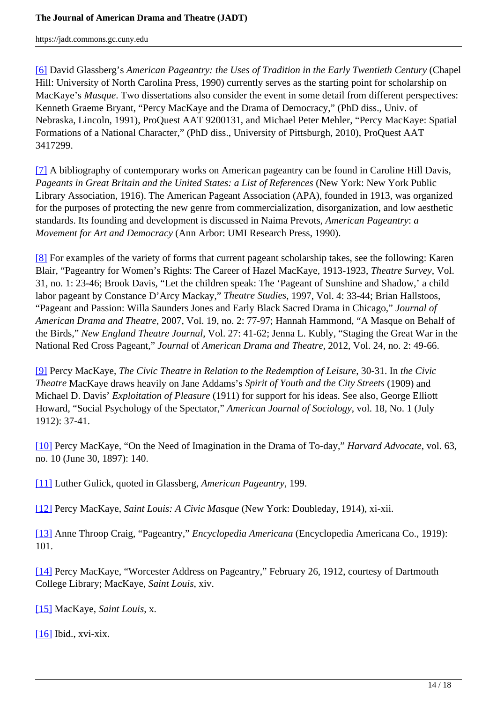[6] David Glassberg's *American Pageantry: the Uses of Tradition in the Early Twentieth Century* (Chapel Hill: University of North Carolina Press, 1990) currently serves as the starting point for scholarship on MacKaye's *Masque*. Two dissertations also consider the event in some detail from different perspectives: Kenneth Graeme Bryant, "Percy MacKaye and the Drama of Democracy," (PhD diss., Univ. of Nebraska, Lincoln, 1991), ProQuest AAT 9200131, and Michael Peter Mehler, "Percy MacKaye: Spatial Formations of a National Character," (PhD diss., University of Pittsburgh, 2010), ProQuest AAT 3417299.

[7] A bibliography of contemporary works on American pageantry can be found in Caroline Hill Davis, *Pageants in Great Britain and the United States: a List of References* (New York: New York Public Library Association, 1916). The American Pageant Association (APA), founded in 1913, was organized for the purposes of protecting the new genre from commercialization, disorganization, and low aesthetic standards. Its founding and development is discussed in Naima Prevots, *American Pageantry*: *a Movement for Art and Democracy* (Ann Arbor: UMI Research Press, 1990).

[8] For examples of the variety of forms that current pageant scholarship takes, see the following: Karen Blair, "Pageantry for Women's Rights: The Career of Hazel MacKaye, 1913-1923, *Theatre Survey*, Vol. 31, no. 1: 23-46; Brook Davis, "Let the children speak: The 'Pageant of Sunshine and Shadow,' a child labor pageant by Constance D'Arcy Mackay," *Theatre Studies*, 1997, Vol. 4: 33-44; Brian Hallstoos, "Pageant and Passion: Willa Saunders Jones and Early Black Sacred Drama in Chicago," *Journal of American Drama and Theatre*, 2007, Vol. 19, no. 2: 77-97; Hannah Hammond, "A Masque on Behalf of the Birds," *New England Theatre Journal*, Vol. 27: 41-62; Jenna L. Kubly, "Staging the Great War in the National Red Cross Pageant," *Journal* of *American Drama and Theatre*, 2012, Vol. 24, no. 2: 49-66.

[9] Percy MacKaye, *The Civic Theatre in Relation to the Redemption of Leisure*, 30-31. In *the Civic Theatre* MacKaye draws heavily on Jane Addams's *Spirit of Youth and the City Streets* (1909) and Michael D. Davis' *Exploitation of Pleasure* (1911) for support for his ideas. See also, George Elliott Howard, "Social Psychology of the Spectator," *American Journal of Sociology*, vol. 18, No. 1 (July 1912): 37-41.

[10] Percy MacKaye, "On the Need of Imagination in the Drama of To-day," *Harvard Advocate*, vol. 63, no. 10 (June 30, 1897): 140.

[11] Luther Gulick, quoted in Glassberg, *American Pageantry*, 199.

[12] Percy MacKaye, *Saint Louis: A Civic Masque* (New York: Doubleday, 1914), xi-xii.

[13] Anne Throop Craig, "Pageantry," *Encyclopedia Americana* (Encyclopedia Americana Co., 1919): 101.

[14] Percy MacKaye, "Worcester Address on Pageantry," February 26, 1912, courtesy of Dartmouth College Library; MacKaye, *Saint Louis*, xiv.

[15] MacKaye, *Saint Louis*, x.

[16] Ibid., xvi-xix.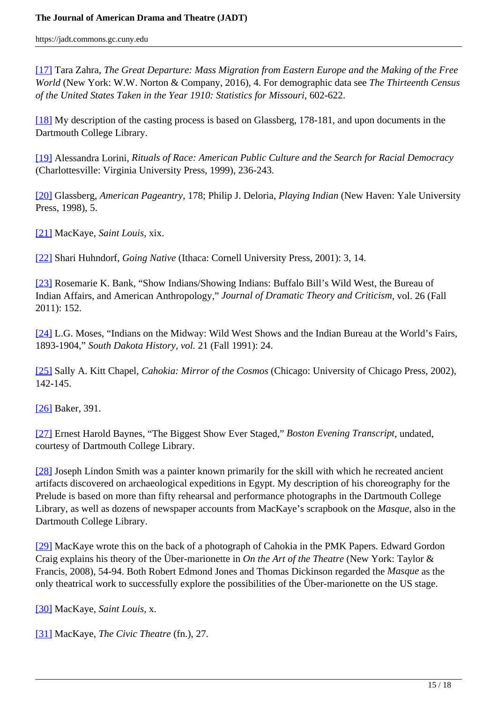[17] Tara Zahra, *The Great Departure: Mass Migration from Eastern Europe and the Making of the Free World* (New York: W.W. Norton & Company, 2016), 4. For demographic data see *The Thirteenth Census of the United States Taken in the Year 1910: Statistics for Missouri*, 602-622.

[18] My description of the casting process is based on Glassberg, 178-181, and upon documents in the Dartmouth College Library.

[19] Alessandra Lorini, *Rituals of Race: American Public Culture and the Search for Racial Democracy* (Charlottesville: Virginia University Press, 1999), 236-243.

[20] Glassberg, *American Pageantry*, 178; Philip J. Deloria, *Playing Indian* (New Haven: Yale University Press, 1998), 5.

[21] MacKaye, *Saint Louis*, xix.

[22] Shari Huhndorf, *Going Native* (Ithaca: Cornell University Press, 2001): 3, 14.

[23] Rosemarie K. Bank, "Show Indians/Showing Indians: Buffalo Bill's Wild West, the Bureau of Indian Affairs, and American Anthropology," *Journal of Dramatic Theory and Criticism*, vol. 26 (Fall 2011): 152.

[24] L.G. Moses, "Indians on the Midway: Wild West Shows and the Indian Bureau at the World's Fairs, 1893-1904," *South Dakota History, vol.* 21 (Fall 1991): 24.

[25] Sally A. Kitt Chapel, *Cahokia: Mirror of the Cosmos* (Chicago: University of Chicago Press, 2002), 142-145.

[26] Baker, 391.

[27] Ernest Harold Baynes, "The Biggest Show Ever Staged," *Boston Evening Transcript*, undated, courtesy of Dartmouth College Library.

[28] Joseph Lindon Smith was a painter known primarily for the skill with which he recreated ancient artifacts discovered on archaeological expeditions in Egypt. My description of his choreography for the Prelude is based on more than fifty rehearsal and performance photographs in the Dartmouth College Library, as well as dozens of newspaper accounts from MacKaye's scrapbook on the *Masque*, also in the Dartmouth College Library.

[29] MacKaye wrote this on the back of a photograph of Cahokia in the PMK Papers. Edward Gordon Craig explains his theory of the Über-marionette in *On the Art of the Theatre* (New York: Taylor & Francis, 2008), 54-94. Both Robert Edmond Jones and Thomas Dickinson regarded the *Masque* as the only theatrical work to successfully explore the possibilities of the Über-marionette on the US stage.

[30] MacKaye, *Saint Louis*, x.

[31] MacKaye, *The Civic Theatre* (fn.), 27.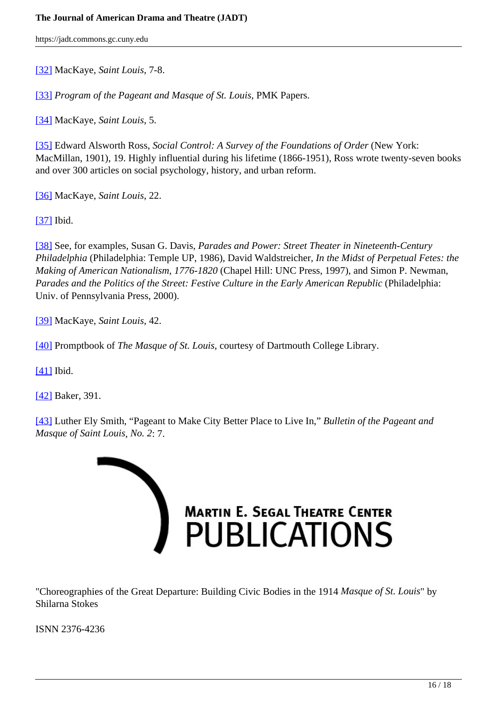[32] MacKaye, *Saint Louis*, 7-8.

[33] *Program of the Pageant and Masque of St. Louis*, PMK Papers.

[34] MacKaye, *Saint Louis*, 5.

[35] Edward Alsworth Ross, *Social Control: A Survey of the Foundations of Order* (New York: MacMillan, 1901), 19. Highly influential during his lifetime (1866-1951), Ross wrote twenty-seven books and over 300 articles on social psychology, history, and urban reform.

[36] MacKaye, *Saint Louis*, 22.

[37] Ibid.

[38] See, for examples, Susan G. Davis, *Parades and Power: Street Theater in Nineteenth-Century Philadelphia* (Philadelphia: Temple UP, 1986), David Waldstreicher*, In the Midst of Perpetual Fetes: the Making of American Nationalism, 1776-1820* (Chapel Hill: UNC Press, 1997), and Simon P. Newman, *Parades and the Politics of the Street: Festive Culture in the Early American Republic (Philadelphia:* Univ. of Pennsylvania Press, 2000).

[39] MacKaye, *Saint Louis*, 42.

[40] Promptbook of *The Masque of St. Louis*, courtesy of Dartmouth College Library.

[41] Ibid.

[42] Baker, 391.

[43] Luther Ely Smith, "Pageant to Make City Better Place to Live In," *Bulletin of the Pageant and Masque of Saint Louis*, *No. 2*: 7.



"Choreographies of the Great Departure: Building Civic Bodies in the 1914 *Masque of St. Louis*" by Shilarna Stokes

ISNN 2376-4236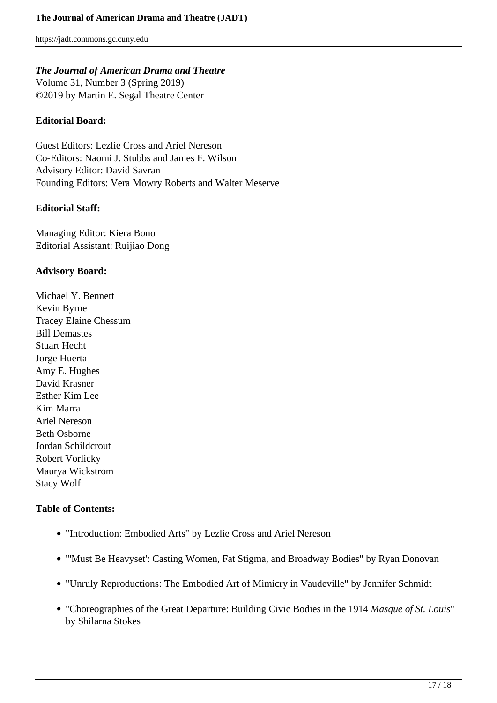## *The Journal of American Drama and Theatre*

Volume 31, Number 3 (Spring 2019) ©2019 by Martin E. Segal Theatre Center

## **Editorial Board:**

Guest Editors: Lezlie Cross and Ariel Nereson Co-Editors: Naomi J. Stubbs and James F. Wilson Advisory Editor: David Savran Founding Editors: Vera Mowry Roberts and Walter Meserve

#### **Editorial Staff:**

Managing Editor: Kiera Bono Editorial Assistant: Ruijiao Dong

### **Advisory Board:**

Michael Y. Bennett Kevin Byrne Tracey Elaine Chessum Bill Demastes Stuart Hecht Jorge Huerta Amy E. Hughes David Krasner Esther Kim Lee Kim Marra Ariel Nereson Beth Osborne Jordan Schildcrout Robert Vorlicky Maurya Wickstrom Stacy Wolf

## **Table of Contents:**

- "Introduction: Embodied Arts" by Lezlie Cross and Ariel Nereson
- "'Must Be Heavyset': Casting Women, Fat Stigma, and Broadway Bodies" by Ryan Donovan
- "Unruly Reproductions: The Embodied Art of Mimicry in Vaudeville" by Jennifer Schmidt
- "Choreographies of the Great Departure: Building Civic Bodies in the 1914 *Masque of St. Louis*" by Shilarna Stokes